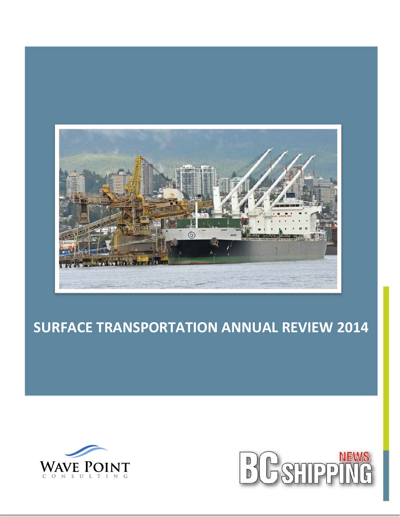

# **SURFACE TRANSPORTATION ANNUAL REVIEW 2014**



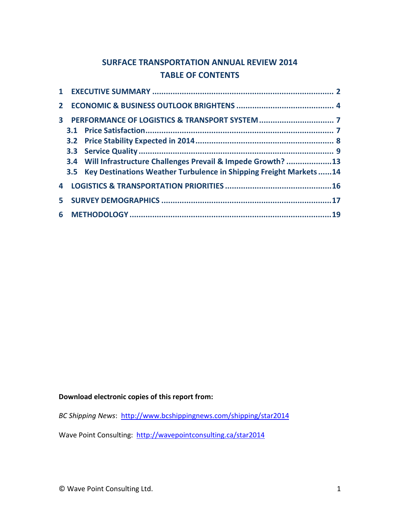## **SURFACE TRANSPORTATION ANNUAL REVIEW 2014 TABLE OF CONTENTS**

| 3. |                                                                         |  |
|----|-------------------------------------------------------------------------|--|
|    |                                                                         |  |
|    | 3.4 Will Infrastructure Challenges Prevail & Impede Growth? 13          |  |
|    | 3.5 Key Destinations Weather Turbulence in Shipping Freight Markets  14 |  |
|    |                                                                         |  |
|    |                                                                         |  |
|    |                                                                         |  |

## **Download electronic copies of this report from:**

*BC Shipping News*: [http://www.bcshippingnews.com/shipping/star2014](http://www.bcshippingnews.com/star2014)

Wave Point Consulting: <http://wavepointconsulting.ca/star2014>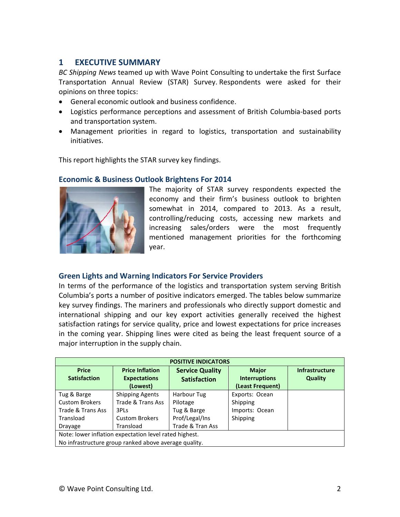## **1 EXECUTIVE SUMMARY**

*BC Shipping News* teamed up with Wave Point Consulting to undertake the first Surface Transportation Annual Review (STAR) Survey. Respondents were asked for their opinions on three topics:

- General economic outlook and business confidence.
- Logistics performance perceptions and assessment of British Columbia-based ports and transportation system.
- Management priorities in regard to logistics, transportation and sustainability initiatives.

This report highlights the STAR survey key findings.

## **Economic & Business Outlook Brightens For 2014**



The majority of STAR survey respondents expected the economy and their firm's business outlook to brighten somewhat in 2014, compared to 2013. As a result, controlling/reducing costs, accessing new markets and increasing sales/orders were the most frequently mentioned management priorities for the forthcoming year.

## **Green Lights and Warning Indicators For Service Providers**

In terms of the performance of the logistics and transportation system serving British Columbia's ports a number of positive indicators emerged. The tables below summarize key survey findings. The mariners and professionals who directly support domestic and international shipping and our key export activities generally received the highest satisfaction ratings for service quality, price and lowest expectations for price increases in the coming year. Shipping lines were cited as being the least frequent source of a major interruption in the supply chain.

| <b>POSITIVE INDICATORS</b>                             |                                                           |                                               |                                                          |                                  |  |
|--------------------------------------------------------|-----------------------------------------------------------|-----------------------------------------------|----------------------------------------------------------|----------------------------------|--|
| <b>Price</b><br><b>Satisfaction</b>                    | <b>Price Inflation</b><br><b>Expectations</b><br>(Lowest) | <b>Service Quality</b><br><b>Satisfaction</b> | <b>Major</b><br><b>Interruptions</b><br>(Least Frequent) | <b>Infrastructure</b><br>Quality |  |
| Tug & Barge                                            | <b>Shipping Agents</b>                                    | Harbour Tug                                   | Exports: Ocean                                           |                                  |  |
| <b>Custom Brokers</b>                                  | Trade & Trans Ass                                         | Pilotage                                      | Shipping                                                 |                                  |  |
| Trade & Trans Ass                                      | 3PLs                                                      | Tug & Barge                                   | Imports: Ocean                                           |                                  |  |
| Transload                                              | <b>Custom Brokers</b>                                     | Prof/Legal/Ins                                | Shipping                                                 |                                  |  |
| Drayage                                                | Transload                                                 | Trade & Tran Ass                              |                                                          |                                  |  |
| Note: lower inflation expectation level rated highest. |                                                           |                                               |                                                          |                                  |  |
| No infrastructure group ranked above average quality.  |                                                           |                                               |                                                          |                                  |  |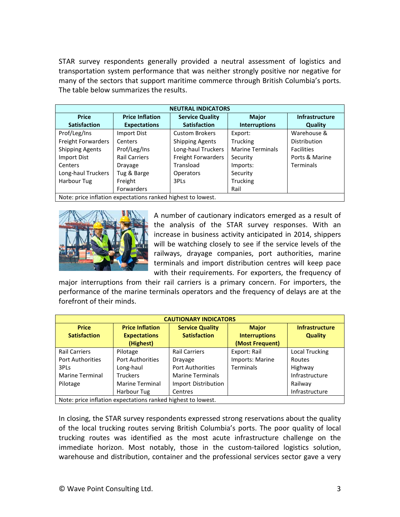STAR survey respondents generally provided a neutral assessment of logistics and transportation system performance that was neither strongly positive nor negative for many of the sectors that support maritime commerce through British Columbia's ports. The table below summarizes the results.

| <b>NEUTRAL INDICATORS</b>                                   |                        |                        |                         |                       |
|-------------------------------------------------------------|------------------------|------------------------|-------------------------|-----------------------|
| <b>Price</b>                                                | <b>Price Inflation</b> | <b>Service Quality</b> | <b>Major</b>            | <b>Infrastructure</b> |
| <b>Satisfaction</b>                                         | <b>Expectations</b>    | <b>Satisfaction</b>    | <b>Interruptions</b>    | Quality               |
| Prof/Leg/Ins                                                | Import Dist            | <b>Custom Brokers</b>  | Export:                 | Warehouse &           |
| Freight Forwarders                                          | Centers                | <b>Shipping Agents</b> | <b>Trucking</b>         | <b>Distribution</b>   |
| <b>Shipping Agents</b>                                      | Prof/Leg/Ins           | Long-haul Truckers     | <b>Marine Terminals</b> | <b>Facilities</b>     |
| Import Dist                                                 | <b>Rail Carriers</b>   | Freight Forwarders     | Security                | Ports & Marine        |
| Centers                                                     | Drayage                | Transload              | Imports:                | Terminals             |
| Long-haul Truckers                                          | Tug & Barge            | <b>Operators</b>       | Security                |                       |
| Harbour Tug                                                 | Freight                | 3PLs                   | Trucking                |                       |
|                                                             | <b>Forwarders</b>      |                        | Rail                    |                       |
| Note: price inflation expectations ranked highest to lowest |                        |                        |                         |                       |

Note: price inflation expectations ranked highest to lowest.



A number of cautionary indicators emerged as a result of the analysis of the STAR survey responses. With an increase in business activity anticipated in 2014, shippers will be watching closely to see if the service levels of the railways, drayage companies, port authorities, marine terminals and import distribution centres will keep pace with their requirements. For exporters, the frequency of

major interruptions from their rail carriers is a primary concern. For importers, the performance of the marine terminals operators and the frequency of delays are at the forefront of their minds.

| <b>CAUTIONARY INDICATORS</b>                                 |                                                            |                                               |                                                         |                                         |
|--------------------------------------------------------------|------------------------------------------------------------|-----------------------------------------------|---------------------------------------------------------|-----------------------------------------|
| <b>Price</b><br><b>Satisfaction</b>                          | <b>Price Inflation</b><br><b>Expectations</b><br>(Highest) | <b>Service Quality</b><br><b>Satisfaction</b> | <b>Major</b><br><b>Interruptions</b><br>(Most Frequent) | <b>Infrastructure</b><br><b>Quality</b> |
| <b>Rail Carriers</b>                                         | Pilotage                                                   | <b>Rail Carriers</b>                          | Export: Rail                                            | Local Trucking                          |
| <b>Port Authorities</b>                                      | <b>Port Authorities</b>                                    | Drayage                                       | Imports: Marine                                         | <b>Routes</b>                           |
| 3PLs                                                         | Long-haul                                                  | <b>Port Authorities</b>                       | Terminals                                               | Highway                                 |
| <b>Marine Terminal</b>                                       | <b>Truckers</b>                                            | <b>Marine Terminals</b>                       |                                                         | Infrastructure                          |
| Pilotage                                                     | <b>Marine Terminal</b>                                     | Import Distribution                           |                                                         | Railway                                 |
|                                                              | Harbour Tug                                                | Centres                                       |                                                         | Infrastructure                          |
| Note: price inflation expectations rapised bigbost to lowest |                                                            |                                               |                                                         |                                         |

Note: price inflation expectations ranked highest to lowest.

In closing, the STAR survey respondents expressed strong reservations about the quality of the local trucking routes serving British Columbia's ports. The poor quality of local trucking routes was identified as the most acute infrastructure challenge on the immediate horizon. Most notably, those in the custom-tailored logistics solution, warehouse and distribution, container and the professional services sector gave a very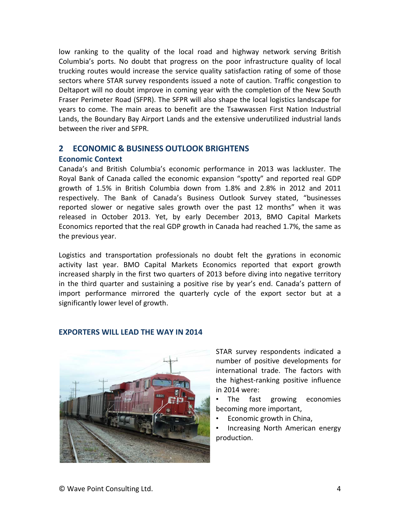low ranking to the quality of the local road and highway network serving British Columbia's ports. No doubt that progress on the poor infrastructure quality of local trucking routes would increase the service quality satisfaction rating of some of those sectors where STAR survey respondents issued a note of caution. Traffic congestion to Deltaport will no doubt improve in coming year with the completion of the New South Fraser Perimeter Road (SFPR). The SFPR will also shape the local logistics landscape for years to come. The main areas to benefit are the Tsawwassen First Nation Industrial Lands, the Boundary Bay Airport Lands and the extensive underutilized industrial lands between the river and SFPR.

## **2 ECONOMIC & BUSINESS OUTLOOK BRIGHTENS**

## **Economic Context**

Canada's and British Columbia's economic performance in 2013 was lackluster. The Royal Bank of Canada called the economic expansion "spotty" and reported real GDP growth of 1.5% in British Columbia down from 1.8% and 2.8% in 2012 and 2011 respectively. The Bank of Canada's Business Outlook Survey stated, "businesses reported slower or negative sales growth over the past 12 months" when it was released in October 2013. Yet, by early December 2013, BMO Capital Markets Economics reported that the real GDP growth in Canada had reached 1.7%, the same as the previous year.

Logistics and transportation professionals no doubt felt the gyrations in economic activity last year. BMO Capital Markets Economics reported that export growth increased sharply in the first two quarters of 2013 before diving into negative territory in the third quarter and sustaining a positive rise by year's end. Canada's pattern of import performance mirrored the quarterly cycle of the export sector but at a significantly lower level of growth.

## **EXPORTERS WILL LEAD THE WAY IN 2014**



STAR survey respondents indicated a number of positive developments for international trade. The factors with the highest-ranking positive influence in 2014 were:

• The fast growing economies becoming more important,

• Economic growth in China,

• Increasing North American energy production.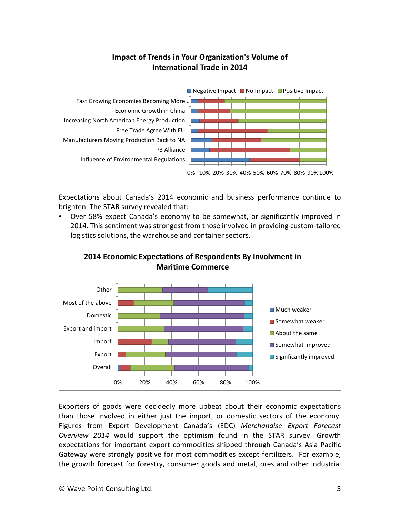

Expectations about Canada's 2014 economic and business performance continue to brighten. The STAR survey revealed that:

• Over 58% expect Canada's economy to be somewhat, or significantly improved in 2014. This sentiment was strongest from those involved in providing custom-tailored logistics solutions, the warehouse and container sectors.



Exporters of goods were decidedly more upbeat about their economic expectations than those involved in either just the import, or domestic sectors of the economy. Figures from Export Development Canada's (EDC) *Merchandise Export Forecast Overview 2014* would support the optimism found in the STAR survey. Growth expectations for important export commodities shipped through Canada's Asia Pacific Gateway were strongly positive for most commodities except fertilizers. For example, the growth forecast for forestry, consumer goods and metal, ores and other industrial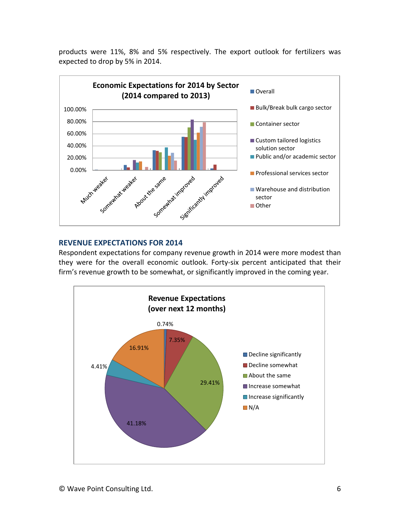products were 11%, 8% and 5% respectively. The export outlook for fertilizers was expected to drop by 5% in 2014.



## **REVENUE EXPECTATIONS FOR 2014**

Respondent expectations for company revenue growth in 2014 were more modest than they were for the overall economic outlook. Forty-six percent anticipated that their firm's revenue growth to be somewhat, or significantly improved in the coming year.

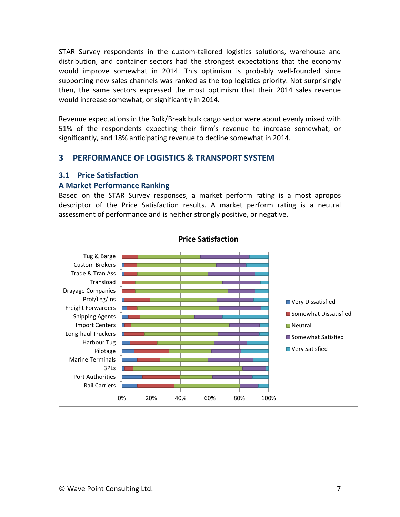STAR Survey respondents in the custom-tailored logistics solutions, warehouse and distribution, and container sectors had the strongest expectations that the economy would improve somewhat in 2014. This optimism is probably well-founded since supporting new sales channels was ranked as the top logistics priority. Not surprisingly then, the same sectors expressed the most optimism that their 2014 sales revenue would increase somewhat, or significantly in 2014.

Revenue expectations in the Bulk/Break bulk cargo sector were about evenly mixed with 51% of the respondents expecting their firm's revenue to increase somewhat, or significantly, and 18% anticipating revenue to decline somewhat in 2014.

## **3 PERFORMANCE OF LOGISTICS & TRANSPORT SYSTEM**

#### **3.1 Price Satisfaction**

#### **A Market Performance Ranking**

Based on the STAR Survey responses, a market perform rating is a most apropos descriptor of the Price Satisfaction results. A market perform rating is a neutral assessment of performance and is neither strongly positive, or negative.

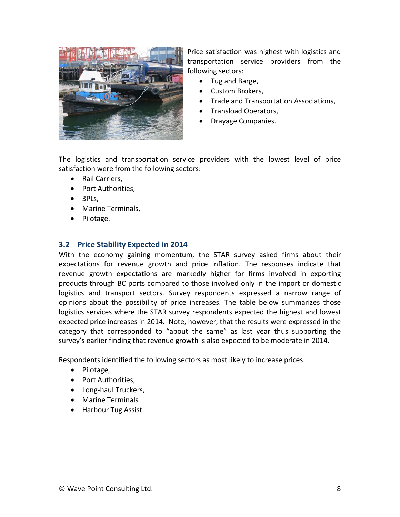

Price satisfaction was highest with logistics and transportation service providers from the following sectors:

- Tug and Barge,
- Custom Brokers,
- Trade and Transportation Associations,
- Transload Operators,
- Drayage Companies.

The logistics and transportation service providers with the lowest level of price satisfaction were from the following sectors:

- Rail Carriers,
- Port Authorities,
- 3PLs,
- Marine Terminals,
- Pilotage.

## **3.2 Price Stability Expected in 2014**

With the economy gaining momentum, the STAR survey asked firms about their expectations for revenue growth and price inflation. The responses indicate that revenue growth expectations are markedly higher for firms involved in exporting products through BC ports compared to those involved only in the import or domestic logistics and transport sectors. Survey respondents expressed a narrow range of opinions about the possibility of price increases. The table below summarizes those logistics services where the STAR survey respondents expected the highest and lowest expected price increases in 2014. Note, however, that the results were expressed in the category that corresponded to "about the same" as last year thus supporting the survey's earlier finding that revenue growth is also expected to be moderate in 2014.

Respondents identified the following sectors as most likely to increase prices:

- Pilotage,
- Port Authorities,
- Long-haul Truckers,
- Marine Terminals
- Harbour Tug Assist.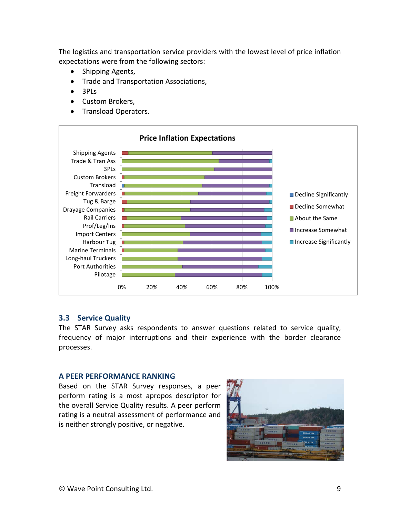The logistics and transportation service providers with the lowest level of price inflation expectations were from the following sectors:

- Shipping Agents,
- Trade and Transportation Associations,
- 3PLs
- Custom Brokers,
- Transload Operators.



#### **3.3 Service Quality**

The STAR Survey asks respondents to answer questions related to service quality, frequency of major interruptions and their experience with the border clearance processes.

#### **A PEER PERFORMANCE RANKING**

Based on the STAR Survey responses, a peer perform rating is a most apropos descriptor for the overall Service Quality results. A peer perform rating is a neutral assessment of performance and is neither strongly positive, or negative.

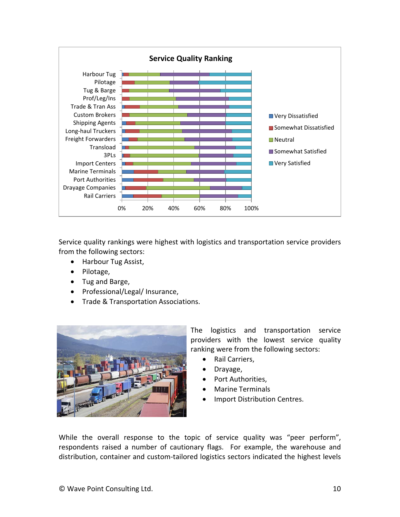

Service quality rankings were highest with logistics and transportation service providers from the following sectors:

- Harbour Tug Assist,
- Pilotage,
- Tug and Barge,
- Professional/Legal/ Insurance,
- Trade & Transportation Associations.



The logistics and transportation service providers with the lowest service quality ranking were from the following sectors:

- Rail Carriers,
- Drayage,
- Port Authorities.
- Marine Terminals
- Import Distribution Centres.

While the overall response to the topic of service quality was "peer perform", respondents raised a number of cautionary flags. For example, the warehouse and distribution, container and custom-tailored logistics sectors indicated the highest levels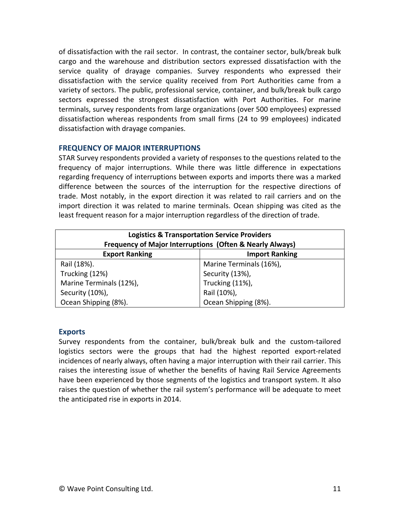of dissatisfaction with the rail sector. In contrast, the container sector, bulk/break bulk cargo and the warehouse and distribution sectors expressed dissatisfaction with the service quality of drayage companies. Survey respondents who expressed their dissatisfaction with the service quality received from Port Authorities came from a variety of sectors. The public, professional service, container, and bulk/break bulk cargo sectors expressed the strongest dissatisfaction with Port Authorities. For marine terminals, survey respondents from large organizations (over 500 employees) expressed dissatisfaction whereas respondents from small firms (24 to 99 employees) indicated dissatisfaction with drayage companies.

## **FREQUENCY OF MAJOR INTERRUPTIONS**

STAR Survey respondents provided a variety of responses to the questions related to the frequency of major interruptions. While there was little difference in expectations regarding frequency of interruptions between exports and imports there was a marked difference between the sources of the interruption for the respective directions of trade. Most notably, in the export direction it was related to rail carriers and on the import direction it was related to marine terminals. Ocean shipping was cited as the least frequent reason for a major interruption regardless of the direction of trade.

| <b>Logistics &amp; Transportation Service Providers</b><br>Frequency of Major Interruptions (Often & Nearly Always) |                         |  |  |
|---------------------------------------------------------------------------------------------------------------------|-------------------------|--|--|
| <b>Export Ranking</b>                                                                                               | <b>Import Ranking</b>   |  |  |
| Rail (18%).                                                                                                         | Marine Terminals (16%), |  |  |
| Trucking (12%)                                                                                                      | Security (13%),         |  |  |
| Marine Terminals (12%),                                                                                             | Trucking (11%),         |  |  |
| Security (10%),                                                                                                     | Rail (10%),             |  |  |
| Ocean Shipping (8%).                                                                                                | Ocean Shipping (8%).    |  |  |

## **Exports**

Survey respondents from the container, bulk/break bulk and the custom-tailored logistics sectors were the groups that had the highest reported export-related incidences of nearly always, often having a major interruption with their rail carrier. This raises the interesting issue of whether the benefits of having Rail Service Agreements have been experienced by those segments of the logistics and transport system. It also raises the question of whether the rail system's performance will be adequate to meet the anticipated rise in exports in 2014.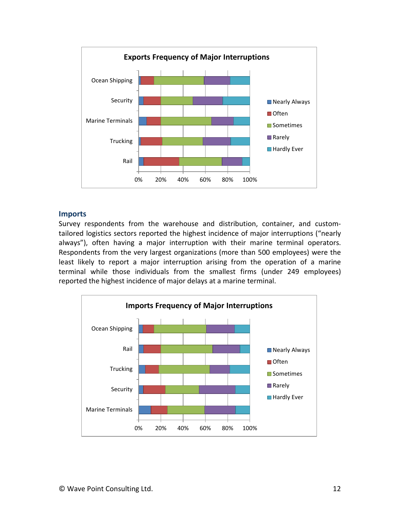

#### **Imports**

Survey respondents from the warehouse and distribution, container, and customtailored logistics sectors reported the highest incidence of major interruptions ("nearly always"), often having a major interruption with their marine terminal operators. Respondents from the very largest organizations (more than 500 employees) were the least likely to report a major interruption arising from the operation of a marine terminal while those individuals from the smallest firms (under 249 employees) reported the highest incidence of major delays at a marine terminal.

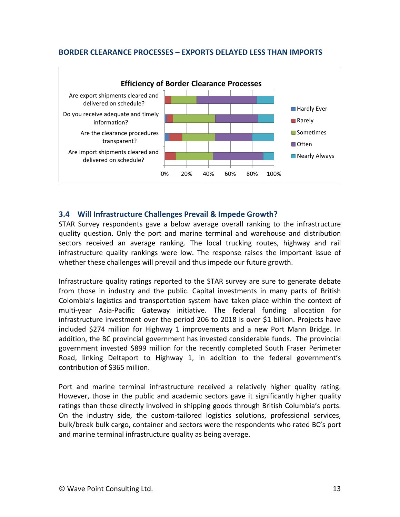#### **BORDER CLEARANCE PROCESSES – EXPORTS DELAYED LESS THAN IMPORTS**



## **3.4 Will Infrastructure Challenges Prevail & Impede Growth?**

STAR Survey respondents gave a below average overall ranking to the infrastructure quality question. Only the port and marine terminal and warehouse and distribution sectors received an average ranking. The local trucking routes, highway and rail infrastructure quality rankings were low. The response raises the important issue of whether these challenges will prevail and thus impede our future growth.

Infrastructure quality ratings reported to the STAR survey are sure to generate debate from those in industry and the public. Capital investments in many parts of British Colombia's logistics and transportation system have taken place within the context of multi-year Asia-Pacific Gateway initiative. The federal funding allocation for infrastructure investment over the period 206 to 2018 is over \$1 billion. Projects have included \$274 million for Highway 1 improvements and a new Port Mann Bridge. In addition, the BC provincial government has invested considerable funds. The provincial government invested \$899 million for the recently completed South Fraser Perimeter Road, linking Deltaport to Highway 1, in addition to the federal government's contribution of \$365 million.

Port and marine terminal infrastructure received a relatively higher quality rating. However, those in the public and academic sectors gave it significantly higher quality ratings than those directly involved in shipping goods through British Columbia's ports. On the industry side, the custom-tailored logistics solutions, professional services, bulk/break bulk cargo, container and sectors were the respondents who rated BC's port and marine terminal infrastructure quality as being average.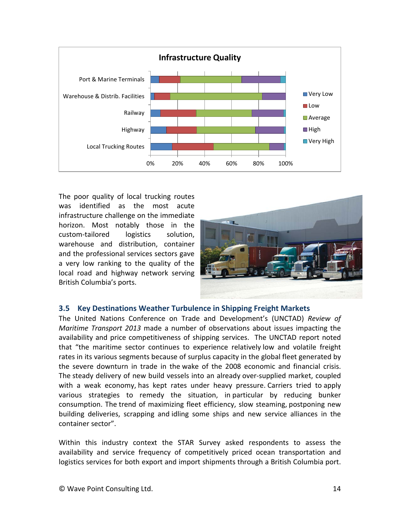

The poor quality of local trucking routes was identified as the most acute infrastructure challenge on the immediate horizon. Most notably those in the custom-tailored logistics solution, warehouse and distribution, container and the professional services sectors gave a very low ranking to the quality of the local road and highway network serving British Columbia's ports.



## **3.5 Key Destinations Weather Turbulence in Shipping Freight Markets**

The United Nations Conference on Trade and Development's (UNCTAD) *Review of Maritime Transport 2013* made a number of observations about issues impacting the availability and price competitiveness of shipping services. The UNCTAD report noted that "the maritime sector continues to experience relatively low and volatile freight rates in its various segments because of surplus capacity in the global fleet generated by the severe downturn in trade in the wake of the 2008 economic and financial crisis. The steady delivery of new build vessels into an already over-supplied market, coupled with a weak economy, has kept rates under heavy pressure. Carriers tried to apply various strategies to remedy the situation, in particular by reducing bunker consumption. The trend of maximizing fleet efficiency, slow steaming, postponing new building deliveries, scrapping and idling some ships and new service alliances in the container sector".

Within this industry context the STAR Survey asked respondents to assess the availability and service frequency of competitively priced ocean transportation and logistics services for both export and import shipments through a British Columbia port.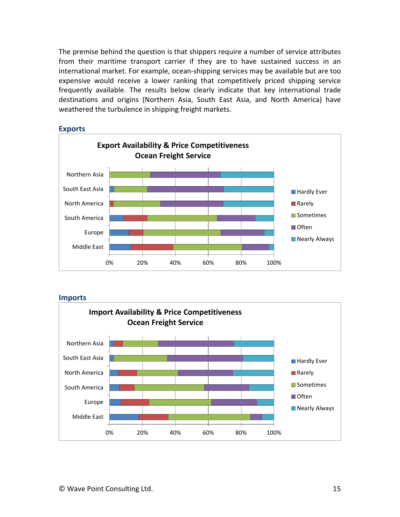The premise behind the question is that shippers require a number of service attributes from their maritime transport carrier if they are to have sustained success in an international market. For example, ocean-shipping services may be available but are too expensive would receive a lower ranking that competitively priced shipping service frequently available. The results below clearly indicate that key international trade destinations and origins (Northern Asia, South East Asia, and North America) have weathered the turbulence in shipping freight markets.



#### **Exports**

**Imports**

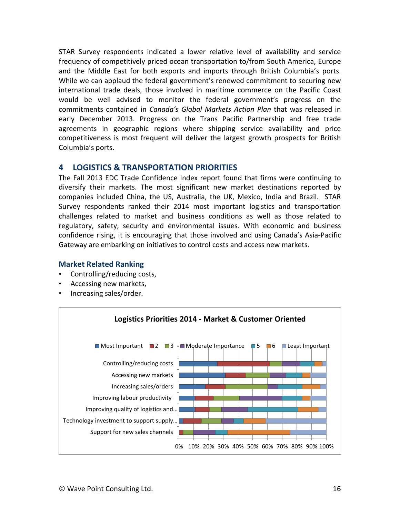STAR Survey respondents indicated a lower relative level of availability and service frequency of competitively priced ocean transportation to/from South America, Europe and the Middle East for both exports and imports through British Columbia's ports. While we can applaud the federal government's renewed commitment to securing new international trade deals, those involved in maritime commerce on the Pacific Coast would be well advised to monitor the federal government's progress on the commitments contained in *Canada's Global Markets Action Plan* that was released in early December 2013. Progress on the Trans Pacific Partnership and free trade agreements in geographic regions where shipping service availability and price competitiveness is most frequent will deliver the largest growth prospects for British Columbia's ports.

## **4 LOGISTICS & TRANSPORTATION PRIORITIES**

The Fall 2013 EDC Trade Confidence Index report found that firms were continuing to diversify their markets. The most significant new market destinations reported by companies included China, the US, Australia, the UK, Mexico, India and Brazil. STAR Survey respondents ranked their 2014 most important logistics and transportation challenges related to market and business conditions as well as those related to regulatory, safety, security and environmental issues. With economic and business confidence rising, it is encouraging that those involved and using Canada's Asia-Pacific Gateway are embarking on initiatives to control costs and access new markets.

## **Market Related Ranking**

- Controlling/reducing costs,
- Accessing new markets,
- Increasing sales/order.

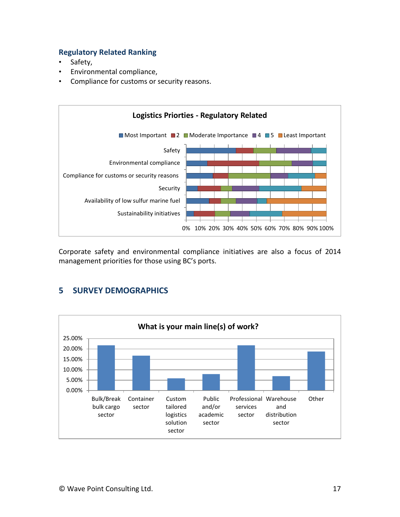## **Regulatory Related Ranking**

- Safety,
- Environmental compliance,
- Compliance for customs or security reasons.



Corporate safety and environmental compliance initiatives are also a focus of 2014 management priorities for those using BC's ports.



## **5 SURVEY DEMOGRAPHICS**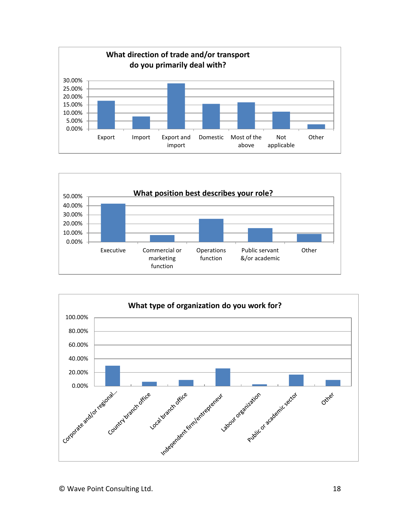



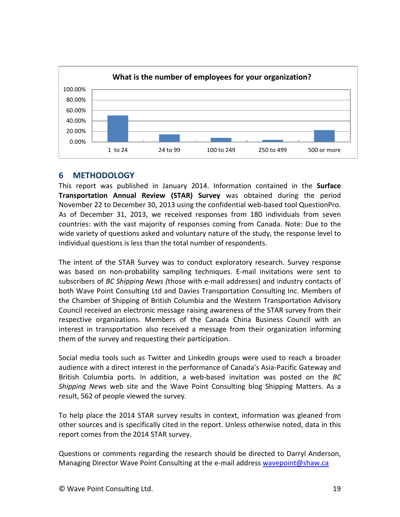

## **6 METHODOLOGY**

This report was published in January 2014. Information contained in the **Surface Transportation Annual Review (STAR) Survey** was obtained during the period November 22 to December 30, 2013 using the confidential web-based tool QuestionPro. As of December 31, 2013, we received responses from 180 individuals from seven countries: with the vast majority of responses coming from Canada. Note: Due to the wide variety of questions asked and voluntary nature of the study, the response level to individual questions is less than the total number of respondents.

The intent of the STAR Survey was to conduct exploratory research. Survey response was based on non-probability sampling techniques. E-mail invitations were sent to subscribers of *BC Shipping News (*those with e-mail addresses) and industry contacts of both Wave Point Consulting Ltd and Davies Transportation Consulting Inc. Members of the Chamber of Shipping of British Columbia and the Western Transportation Advisory Council received an electronic message raising awareness of the STAR survey from their respective organizations. Members of the Canada China Business Council with an interest in transportation also received a message from their organization informing them of the survey and requesting their participation.

Social media tools such as Twitter and LinkedIn groups were used to reach a broader audience with a direct interest in the performance of Canada's Asia-Pacific Gateway and British Columbia ports. In addition, a web-based invitation was posted on the *BC Shipping News* web site and the Wave Point Consulting blog Shipping Matters. As a result, 562 of people viewed the survey.

To help place the 2014 STAR survey results in context, information was gleaned from other sources and is specifically cited in the report. Unless otherwise noted, data in this report comes from the 2014 STAR survey.

Questions or comments regarding the research should be directed to Darryl Anderson, Managing Director Wave Point Consulting at the e-mail address [wavepoint@shaw.ca](mailto:wavepoint@shaw.ca)